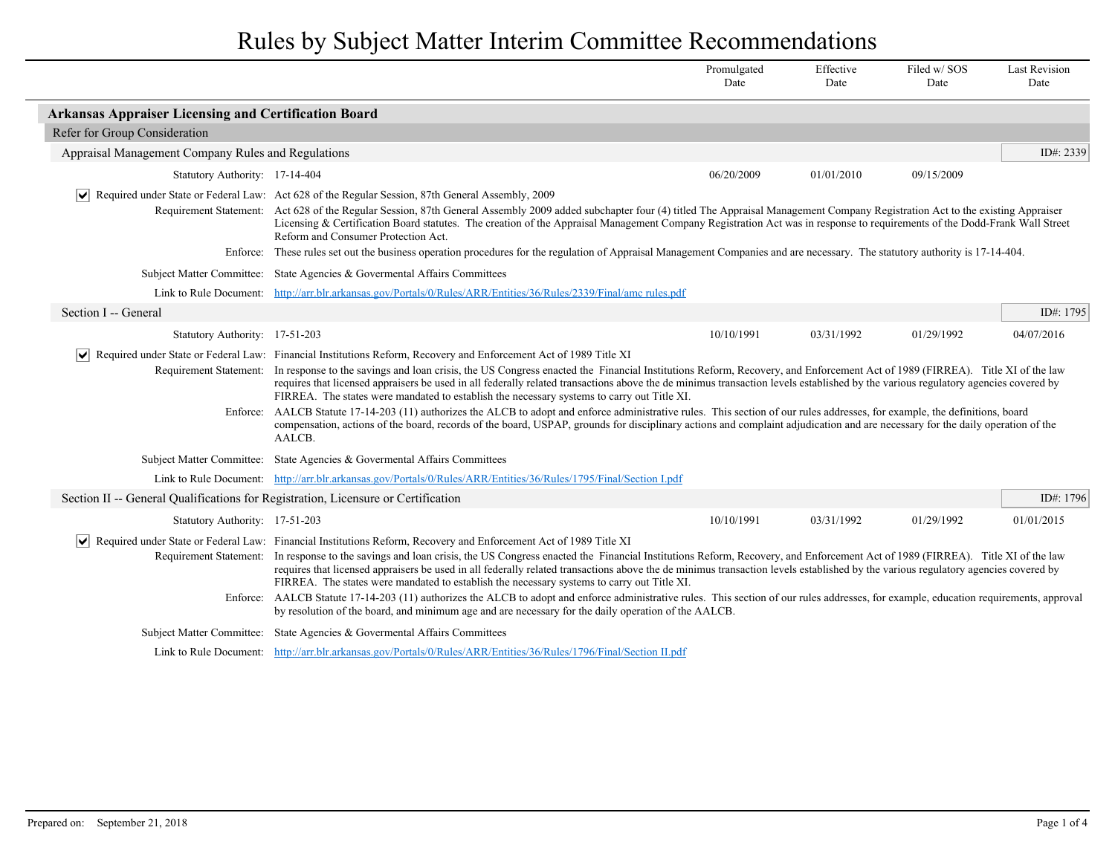|                                                                                                                                                                                                                                                                                                                                                                                                                                                                                                                                                                                                                                                                                                                                                                                                                                                                                                             |                                                                                                                                                                                                                                                                                                                                                                                                                                                                                                                                                                                                                                                                                                                                                                                                                                                                                                                                                                                       | Promulgated<br>Date | Effective<br>Date | Filed w/SOS<br>Date | <b>Last Revision</b><br>Date |
|-------------------------------------------------------------------------------------------------------------------------------------------------------------------------------------------------------------------------------------------------------------------------------------------------------------------------------------------------------------------------------------------------------------------------------------------------------------------------------------------------------------------------------------------------------------------------------------------------------------------------------------------------------------------------------------------------------------------------------------------------------------------------------------------------------------------------------------------------------------------------------------------------------------|---------------------------------------------------------------------------------------------------------------------------------------------------------------------------------------------------------------------------------------------------------------------------------------------------------------------------------------------------------------------------------------------------------------------------------------------------------------------------------------------------------------------------------------------------------------------------------------------------------------------------------------------------------------------------------------------------------------------------------------------------------------------------------------------------------------------------------------------------------------------------------------------------------------------------------------------------------------------------------------|---------------------|-------------------|---------------------|------------------------------|
| <b>Arkansas Appraiser Licensing and Certification Board</b>                                                                                                                                                                                                                                                                                                                                                                                                                                                                                                                                                                                                                                                                                                                                                                                                                                                 |                                                                                                                                                                                                                                                                                                                                                                                                                                                                                                                                                                                                                                                                                                                                                                                                                                                                                                                                                                                       |                     |                   |                     |                              |
| Refer for Group Consideration                                                                                                                                                                                                                                                                                                                                                                                                                                                                                                                                                                                                                                                                                                                                                                                                                                                                               |                                                                                                                                                                                                                                                                                                                                                                                                                                                                                                                                                                                                                                                                                                                                                                                                                                                                                                                                                                                       |                     |                   |                     |                              |
| Appraisal Management Company Rules and Regulations                                                                                                                                                                                                                                                                                                                                                                                                                                                                                                                                                                                                                                                                                                                                                                                                                                                          |                                                                                                                                                                                                                                                                                                                                                                                                                                                                                                                                                                                                                                                                                                                                                                                                                                                                                                                                                                                       |                     |                   |                     | ID#: $2339$                  |
| Statutory Authority: 17-14-404                                                                                                                                                                                                                                                                                                                                                                                                                                                                                                                                                                                                                                                                                                                                                                                                                                                                              |                                                                                                                                                                                                                                                                                                                                                                                                                                                                                                                                                                                                                                                                                                                                                                                                                                                                                                                                                                                       | 06/20/2009          | 01/01/2010        | 09/15/2009          |                              |
|                                                                                                                                                                                                                                                                                                                                                                                                                                                                                                                                                                                                                                                                                                                                                                                                                                                                                                             | $ \mathbf{v} $ Required under State or Federal Law: Act 628 of the Regular Session, 87th General Assembly, 2009<br>Requirement Statement: Act 628 of the Regular Session, 87th General Assembly 2009 added subchapter four (4) titled The Appraisal Management Company Registration Act to the existing Appraiser<br>Licensing & Certification Board statutes. The creation of the Appraisal Management Company Registration Act was in response to requirements of the Dodd-Frank Wall Street<br>Reform and Consumer Protection Act.                                                                                                                                                                                                                                                                                                                                                                                                                                                 |                     |                   |                     |                              |
|                                                                                                                                                                                                                                                                                                                                                                                                                                                                                                                                                                                                                                                                                                                                                                                                                                                                                                             | Enforce: These rules set out the business operation procedures for the regulation of Appraisal Management Companies and are necessary. The statutory authority is 17-14-404.                                                                                                                                                                                                                                                                                                                                                                                                                                                                                                                                                                                                                                                                                                                                                                                                          |                     |                   |                     |                              |
|                                                                                                                                                                                                                                                                                                                                                                                                                                                                                                                                                                                                                                                                                                                                                                                                                                                                                                             | Subject Matter Committee: State Agencies & Governental Affairs Committees                                                                                                                                                                                                                                                                                                                                                                                                                                                                                                                                                                                                                                                                                                                                                                                                                                                                                                             |                     |                   |                     |                              |
|                                                                                                                                                                                                                                                                                                                                                                                                                                                                                                                                                                                                                                                                                                                                                                                                                                                                                                             | Link to Rule Document: http://arr.blr.arkansas.gov/Portals/0/Rules/ARR/Entities/36/Rules/2339/Final/amc rules.pdf                                                                                                                                                                                                                                                                                                                                                                                                                                                                                                                                                                                                                                                                                                                                                                                                                                                                     |                     |                   |                     |                              |
| Section I -- General                                                                                                                                                                                                                                                                                                                                                                                                                                                                                                                                                                                                                                                                                                                                                                                                                                                                                        |                                                                                                                                                                                                                                                                                                                                                                                                                                                                                                                                                                                                                                                                                                                                                                                                                                                                                                                                                                                       |                     |                   |                     | ID#: $1795$                  |
| Statutory Authority: 17-51-203                                                                                                                                                                                                                                                                                                                                                                                                                                                                                                                                                                                                                                                                                                                                                                                                                                                                              |                                                                                                                                                                                                                                                                                                                                                                                                                                                                                                                                                                                                                                                                                                                                                                                                                                                                                                                                                                                       | 10/10/1991          | 03/31/1992        | 01/29/1992          | 04/07/2016                   |
|                                                                                                                                                                                                                                                                                                                                                                                                                                                                                                                                                                                                                                                                                                                                                                                                                                                                                                             | Required under State or Federal Law: Financial Institutions Reform, Recovery and Enforcement Act of 1989 Title XI<br>Requirement Statement: In response to the savings and loan crisis, the US Congress enacted the Financial Institutions Reform, Recovery, and Enforcement Act of 1989 (FIRREA). Title XI of the law<br>requires that licensed appraisers be used in all federally related transactions above the de minimus transaction levels established by the various regulatory agencies covered by<br>FIRREA. The states were mandated to establish the necessary systems to carry out Title XI.<br>Enforce: AALCB Statute 17-14-203 (11) authorizes the ALCB to adopt and enforce administrative rules. This section of our rules addresses, for example, the definitions, board<br>compensation, actions of the board, records of the board, USPAP, grounds for disciplinary actions and complaint adjudication and are necessary for the daily operation of the<br>AALCB. |                     |                   |                     |                              |
|                                                                                                                                                                                                                                                                                                                                                                                                                                                                                                                                                                                                                                                                                                                                                                                                                                                                                                             | Subject Matter Committee: State Agencies & Governental Affairs Committees                                                                                                                                                                                                                                                                                                                                                                                                                                                                                                                                                                                                                                                                                                                                                                                                                                                                                                             |                     |                   |                     |                              |
|                                                                                                                                                                                                                                                                                                                                                                                                                                                                                                                                                                                                                                                                                                                                                                                                                                                                                                             | Link to Rule Document: http://arr.blr.arkansas.gov/Portals/0/Rules/ARR/Entities/36/Rules/1795/Final/Section Lpdf                                                                                                                                                                                                                                                                                                                                                                                                                                                                                                                                                                                                                                                                                                                                                                                                                                                                      |                     |                   |                     |                              |
| Section II -- General Qualifications for Registration, Licensure or Certification                                                                                                                                                                                                                                                                                                                                                                                                                                                                                                                                                                                                                                                                                                                                                                                                                           |                                                                                                                                                                                                                                                                                                                                                                                                                                                                                                                                                                                                                                                                                                                                                                                                                                                                                                                                                                                       |                     |                   |                     | ID#: 1796                    |
| Statutory Authority: 17-51-203                                                                                                                                                                                                                                                                                                                                                                                                                                                                                                                                                                                                                                                                                                                                                                                                                                                                              |                                                                                                                                                                                                                                                                                                                                                                                                                                                                                                                                                                                                                                                                                                                                                                                                                                                                                                                                                                                       | 10/10/1991          | 03/31/1992        | 01/29/1992          | 01/01/2015                   |
| Required under State or Federal Law: Financial Institutions Reform, Recovery and Enforcement Act of 1989 Title XI<br>Requirement Statement: In response to the savings and loan crisis, the US Congress enacted the Financial Institutions Reform, Recovery, and Enforcement Act of 1989 (FIRREA). Title XI of the law<br>requires that licensed appraisers be used in all federally related transactions above the de minimus transaction levels established by the various regulatory agencies covered by<br>FIRREA. The states were mandated to establish the necessary systems to carry out Title XI.<br>Enforce: AALCB Statute 17-14-203 (11) authorizes the ALCB to adopt and enforce administrative rules. This section of our rules addresses, for example, education requirements, approval<br>by resolution of the board, and minimum age and are necessary for the daily operation of the AALCB. |                                                                                                                                                                                                                                                                                                                                                                                                                                                                                                                                                                                                                                                                                                                                                                                                                                                                                                                                                                                       |                     |                   |                     |                              |
|                                                                                                                                                                                                                                                                                                                                                                                                                                                                                                                                                                                                                                                                                                                                                                                                                                                                                                             | Subject Matter Committee: State Agencies & Governental Affairs Committees                                                                                                                                                                                                                                                                                                                                                                                                                                                                                                                                                                                                                                                                                                                                                                                                                                                                                                             |                     |                   |                     |                              |
|                                                                                                                                                                                                                                                                                                                                                                                                                                                                                                                                                                                                                                                                                                                                                                                                                                                                                                             | Link to Rule Document: http://arr.blr.arkansas.gov/Portals/0/Rules/ARR/Entities/36/Rules/1796/Final/Section II.pdf                                                                                                                                                                                                                                                                                                                                                                                                                                                                                                                                                                                                                                                                                                                                                                                                                                                                    |                     |                   |                     |                              |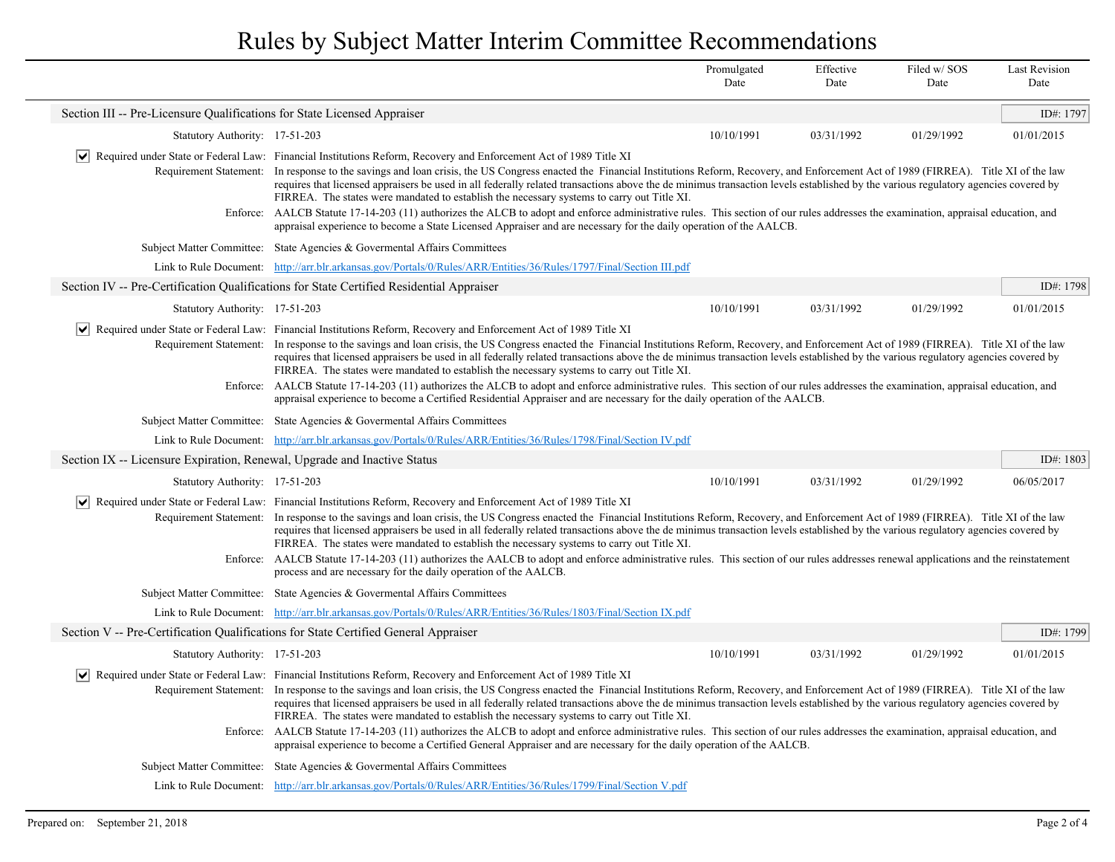|                                                                          |                                                                                                                                                                                                                                                                                                                                                                                                                                                                                                                                                                                                                                                                                                                                                                                                                                                                                                                             | Promulgated<br>Date | Effective<br>Date | Filed w/ SOS<br>Date | <b>Last Revision</b><br>Date |
|--------------------------------------------------------------------------|-----------------------------------------------------------------------------------------------------------------------------------------------------------------------------------------------------------------------------------------------------------------------------------------------------------------------------------------------------------------------------------------------------------------------------------------------------------------------------------------------------------------------------------------------------------------------------------------------------------------------------------------------------------------------------------------------------------------------------------------------------------------------------------------------------------------------------------------------------------------------------------------------------------------------------|---------------------|-------------------|----------------------|------------------------------|
| Section III -- Pre-Licensure Qualifications for State Licensed Appraiser |                                                                                                                                                                                                                                                                                                                                                                                                                                                                                                                                                                                                                                                                                                                                                                                                                                                                                                                             |                     |                   |                      | ID#: 1797                    |
| Statutory Authority: 17-51-203                                           |                                                                                                                                                                                                                                                                                                                                                                                                                                                                                                                                                                                                                                                                                                                                                                                                                                                                                                                             | 10/10/1991          | 03/31/1992        | 01/29/1992           | 01/01/2015                   |
|                                                                          | √ Required under State or Federal Law: Financial Institutions Reform, Recovery and Enforcement Act of 1989 Title XI                                                                                                                                                                                                                                                                                                                                                                                                                                                                                                                                                                                                                                                                                                                                                                                                         |                     |                   |                      |                              |
|                                                                          | Requirement Statement: In response to the savings and loan crisis, the US Congress enacted the Financial Institutions Reform, Recovery, and Enforcement Act of 1989 (FIRREA). Title XI of the law<br>requires that licensed appraisers be used in all federally related transactions above the de minimus transaction levels established by the various regulatory agencies covered by<br>FIRREA. The states were mandated to establish the necessary systems to carry out Title XI.                                                                                                                                                                                                                                                                                                                                                                                                                                        |                     |                   |                      |                              |
|                                                                          | Enforce: AALCB Statute 17-14-203 (11) authorizes the ALCB to adopt and enforce administrative rules. This section of our rules addresses the examination, appraisal education, and<br>appraisal experience to become a State Licensed Appraiser and are necessary for the daily operation of the AALCB.                                                                                                                                                                                                                                                                                                                                                                                                                                                                                                                                                                                                                     |                     |                   |                      |                              |
|                                                                          | Subject Matter Committee: State Agencies & Governental Affairs Committees                                                                                                                                                                                                                                                                                                                                                                                                                                                                                                                                                                                                                                                                                                                                                                                                                                                   |                     |                   |                      |                              |
|                                                                          | Link to Rule Document: http://arr.blr.arkansas.gov/Portals/0/Rules/ARR/Entities/36/Rules/1797/Final/Section III.pdf                                                                                                                                                                                                                                                                                                                                                                                                                                                                                                                                                                                                                                                                                                                                                                                                         |                     |                   |                      |                              |
|                                                                          | Section IV -- Pre-Certification Qualifications for State Certified Residential Appraiser                                                                                                                                                                                                                                                                                                                                                                                                                                                                                                                                                                                                                                                                                                                                                                                                                                    |                     |                   |                      | ID#: 1798                    |
| Statutory Authority: 17-51-203                                           |                                                                                                                                                                                                                                                                                                                                                                                                                                                                                                                                                                                                                                                                                                                                                                                                                                                                                                                             | 10/10/1991          | 03/31/1992        | 01/29/1992           | 01/01/2015                   |
|                                                                          | Required under State or Federal Law: Financial Institutions Reform, Recovery and Enforcement Act of 1989 Title XI<br>Requirement Statement: In response to the savings and loan crisis, the US Congress enacted the Financial Institutions Reform, Recovery, and Enforcement Act of 1989 (FIRREA). Title XI of the law<br>requires that licensed appraisers be used in all federally related transactions above the de minimus transaction levels established by the various regulatory agencies covered by<br>FIRREA. The states were mandated to establish the necessary systems to carry out Title XI.<br>Enforce: AALCB Statute 17-14-203 (11) authorizes the ALCB to adopt and enforce administrative rules. This section of our rules addresses the examination, appraisal education, and<br>appraisal experience to become a Certified Residential Appraiser and are necessary for the daily operation of the AALCB. |                     |                   |                      |                              |
|                                                                          | Subject Matter Committee: State Agencies & Governental Affairs Committees                                                                                                                                                                                                                                                                                                                                                                                                                                                                                                                                                                                                                                                                                                                                                                                                                                                   |                     |                   |                      |                              |
|                                                                          | Link to Rule Document: http://arr.blr.arkansas.gov/Portals/0/Rules/ARR/Entities/36/Rules/1798/Final/Section IV.pdf                                                                                                                                                                                                                                                                                                                                                                                                                                                                                                                                                                                                                                                                                                                                                                                                          |                     |                   |                      |                              |
| Section IX -- Licensure Expiration, Renewal, Upgrade and Inactive Status |                                                                                                                                                                                                                                                                                                                                                                                                                                                                                                                                                                                                                                                                                                                                                                                                                                                                                                                             |                     |                   |                      | ID#: 1803                    |
| Statutory Authority: 17-51-203                                           |                                                                                                                                                                                                                                                                                                                                                                                                                                                                                                                                                                                                                                                                                                                                                                                                                                                                                                                             | 10/10/1991          | 03/31/1992        | 01/29/1992           | 06/05/2017                   |
|                                                                          | Required under State or Federal Law: Financial Institutions Reform, Recovery and Enforcement Act of 1989 Title XI<br>Requirement Statement: In response to the savings and loan crisis, the US Congress enacted the Financial Institutions Reform, Recovery, and Enforcement Act of 1989 (FIRREA). Title XI of the law<br>requires that licensed appraisers be used in all federally related transactions above the de minimus transaction levels established by the various regulatory agencies covered by<br>FIRREA. The states were mandated to establish the necessary systems to carry out Title XI.<br>Enforce: AALCB Statute 17-14-203 (11) authorizes the AALCB to adopt and enforce administrative rules. This section of our rules addresses renewal applications and the reinstatement<br>process and are necessary for the daily operation of the AALCB.                                                        |                     |                   |                      |                              |
|                                                                          | Subject Matter Committee: State Agencies & Governental Affairs Committees                                                                                                                                                                                                                                                                                                                                                                                                                                                                                                                                                                                                                                                                                                                                                                                                                                                   |                     |                   |                      |                              |
|                                                                          | Link to Rule Document: http://arr.blr.arkansas.gov/Portals/0/Rules/ARR/Entities/36/Rules/1803/Final/Section IX.pdf                                                                                                                                                                                                                                                                                                                                                                                                                                                                                                                                                                                                                                                                                                                                                                                                          |                     |                   |                      |                              |
|                                                                          | Section V -- Pre-Certification Qualifications for State Certified General Appraiser                                                                                                                                                                                                                                                                                                                                                                                                                                                                                                                                                                                                                                                                                                                                                                                                                                         |                     |                   |                      | ID#: 1799                    |
| Statutory Authority: 17-51-203                                           |                                                                                                                                                                                                                                                                                                                                                                                                                                                                                                                                                                                                                                                                                                                                                                                                                                                                                                                             | 10/10/1991          | 03/31/1992        | 01/29/1992           | 01/01/2015                   |
|                                                                          | Required under State or Federal Law: Financial Institutions Reform, Recovery and Enforcement Act of 1989 Title XI                                                                                                                                                                                                                                                                                                                                                                                                                                                                                                                                                                                                                                                                                                                                                                                                           |                     |                   |                      |                              |
|                                                                          | Requirement Statement: In response to the savings and loan crisis, the US Congress enacted the Financial Institutions Reform, Recovery, and Enforcement Act of 1989 (FIRREA). Title XI of the law<br>requires that licensed appraisers be used in all federally related transactions above the de minimus transaction levels established by the various regulatory agencies covered by<br>FIRREA. The states were mandated to establish the necessary systems to carry out Title XI.                                                                                                                                                                                                                                                                                                                                                                                                                                        |                     |                   |                      |                              |
|                                                                          | Enforce: AALCB Statute 17-14-203 (11) authorizes the ALCB to adopt and enforce administrative rules. This section of our rules addresses the examination, appraisal education, and<br>appraisal experience to become a Certified General Appraiser and are necessary for the daily operation of the AALCB.                                                                                                                                                                                                                                                                                                                                                                                                                                                                                                                                                                                                                  |                     |                   |                      |                              |
|                                                                          | Subject Matter Committee: State Agencies & Governental Affairs Committees                                                                                                                                                                                                                                                                                                                                                                                                                                                                                                                                                                                                                                                                                                                                                                                                                                                   |                     |                   |                      |                              |
|                                                                          | Link to Rule Document: http://arr.blr.arkansas.gov/Portals/0/Rules/ARR/Entities/36/Rules/1799/Final/Section V.pdf                                                                                                                                                                                                                                                                                                                                                                                                                                                                                                                                                                                                                                                                                                                                                                                                           |                     |                   |                      |                              |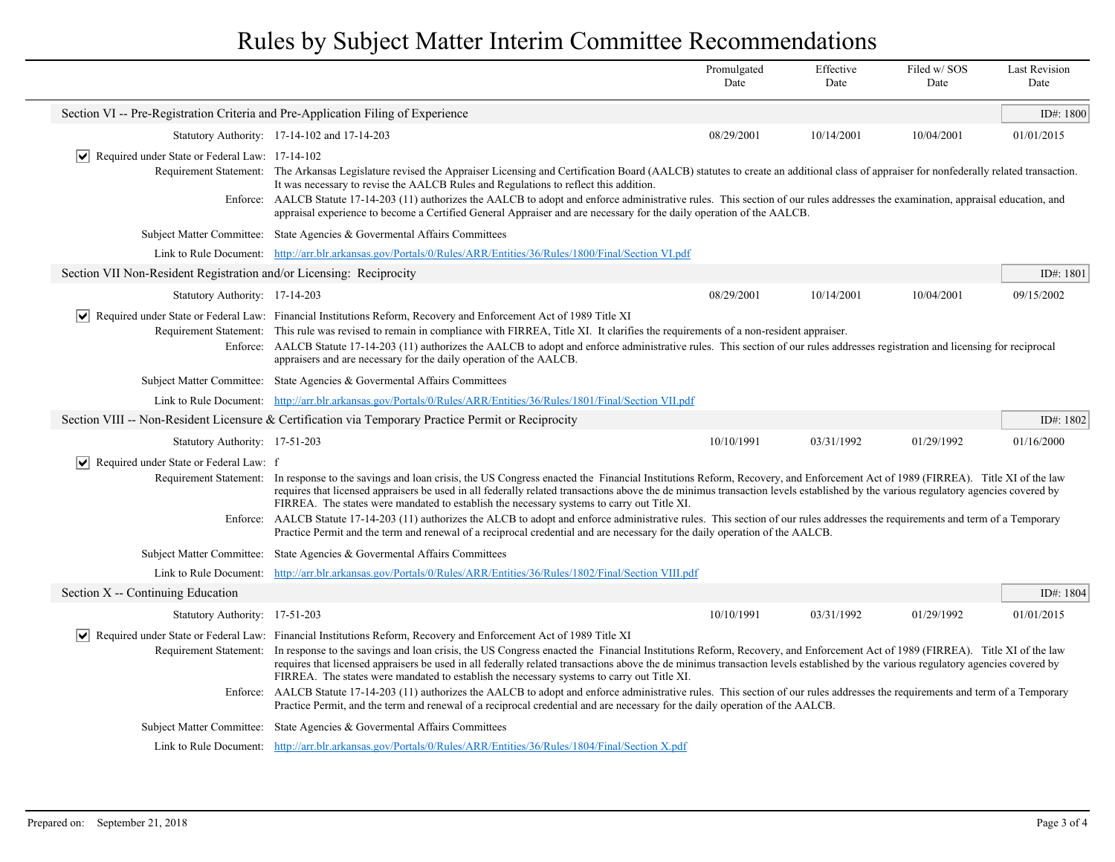|                                                                                  |                                                                                                                                                                                                                                                                                                                                                                                                                                                                                                                                                                                                                                                                                                                                                                                                              | Promulgated<br>Date | Effective<br>Date | Filed w/SOS<br>Date | <b>Last Revision</b><br>Date |  |
|----------------------------------------------------------------------------------|--------------------------------------------------------------------------------------------------------------------------------------------------------------------------------------------------------------------------------------------------------------------------------------------------------------------------------------------------------------------------------------------------------------------------------------------------------------------------------------------------------------------------------------------------------------------------------------------------------------------------------------------------------------------------------------------------------------------------------------------------------------------------------------------------------------|---------------------|-------------------|---------------------|------------------------------|--|
| Section VI -- Pre-Registration Criteria and Pre-Application Filing of Experience |                                                                                                                                                                                                                                                                                                                                                                                                                                                                                                                                                                                                                                                                                                                                                                                                              |                     |                   |                     | ID#: 1800                    |  |
|                                                                                  | Statutory Authority: 17-14-102 and 17-14-203                                                                                                                                                                                                                                                                                                                                                                                                                                                                                                                                                                                                                                                                                                                                                                 | 08/29/2001          | 10/14/2001        | 10/04/2001          | 01/01/2015                   |  |
| $\triangleright$ Required under State or Federal Law: 17-14-102                  | Requirement Statement: The Arkansas Legislature revised the Appraiser Licensing and Certification Board (AALCB) statutes to create an additional class of appraiser for nonfederally related transaction.<br>It was necessary to revise the AALCB Rules and Regulations to reflect this addition.<br>Enforce: AALCB Statute 17-14-203 (11) authorizes the AALCB to adopt and enforce administrative rules. This section of our rules addresses the examination, appraisal education, and<br>appraisal experience to become a Certified General Appraiser and are necessary for the daily operation of the AALCB.                                                                                                                                                                                             |                     |                   |                     |                              |  |
|                                                                                  | Subject Matter Committee: State Agencies & Governental Affairs Committees                                                                                                                                                                                                                                                                                                                                                                                                                                                                                                                                                                                                                                                                                                                                    |                     |                   |                     |                              |  |
|                                                                                  | Link to Rule Document: http://arr.blr.arkansas.gov/Portals/0/Rules/ARR/Entities/36/Rules/1800/Final/Section VI.pdf                                                                                                                                                                                                                                                                                                                                                                                                                                                                                                                                                                                                                                                                                           |                     |                   |                     |                              |  |
| Section VII Non-Resident Registration and/or Licensing: Reciprocity              |                                                                                                                                                                                                                                                                                                                                                                                                                                                                                                                                                                                                                                                                                                                                                                                                              |                     |                   |                     | ID#: 1801                    |  |
| Statutory Authority: 17-14-203                                                   |                                                                                                                                                                                                                                                                                                                                                                                                                                                                                                                                                                                                                                                                                                                                                                                                              | 08/29/2001          | 10/14/2001        | 10/04/2001          | 09/15/2002                   |  |
|                                                                                  | √ Required under State or Federal Law: Financial Institutions Reform, Recovery and Enforcement Act of 1989 Title XI<br>Requirement Statement: This rule was revised to remain in compliance with FIRREA, Title XI. It clarifies the requirements of a non-resident appraiser.<br>Enforce: AALCB Statute 17-14-203 (11) authorizes the AALCB to adopt and enforce administrative rules. This section of our rules addresses registration and licensing for reciprocal<br>appraisers and are necessary for the daily operation of the AALCB.                                                                                                                                                                                                                                                                   |                     |                   |                     |                              |  |
|                                                                                  | Subject Matter Committee: State Agencies & Governental Affairs Committees                                                                                                                                                                                                                                                                                                                                                                                                                                                                                                                                                                                                                                                                                                                                    |                     |                   |                     |                              |  |
|                                                                                  | Link to Rule Document: http://arr.blr.arkansas.gov/Portals/0/Rules/ARR/Entities/36/Rules/1801/Final/Section VII.pdf                                                                                                                                                                                                                                                                                                                                                                                                                                                                                                                                                                                                                                                                                          |                     |                   |                     |                              |  |
|                                                                                  | Section VIII -- Non-Resident Licensure & Certification via Temporary Practice Permit or Reciprocity                                                                                                                                                                                                                                                                                                                                                                                                                                                                                                                                                                                                                                                                                                          |                     |                   |                     | ID#: 1802                    |  |
| Statutory Authority: 17-51-203                                                   |                                                                                                                                                                                                                                                                                                                                                                                                                                                                                                                                                                                                                                                                                                                                                                                                              | 10/10/1991          | 03/31/1992        | 01/29/1992          | 01/16/2000                   |  |
| $ \vee $<br>Required under State or Federal Law: f                               | Requirement Statement: In response to the savings and loan crisis, the US Congress enacted the Financial Institutions Reform, Recovery, and Enforcement Act of 1989 (FIRREA). Title XI of the law<br>requires that licensed appraisers be used in all federally related transactions above the de minimus transaction levels established by the various regulatory agencies covered by<br>FIRREA. The states were mandated to establish the necessary systems to carry out Title XI.<br>Enforce: AALCB Statute 17-14-203 (11) authorizes the ALCB to adopt and enforce administrative rules. This section of our rules addresses the requirements and term of a Temporary<br>Practice Permit and the term and renewal of a reciprocal credential and are necessary for the daily operation of the AALCB.     |                     |                   |                     |                              |  |
|                                                                                  | Subject Matter Committee: State Agencies & Governental Affairs Committees                                                                                                                                                                                                                                                                                                                                                                                                                                                                                                                                                                                                                                                                                                                                    |                     |                   |                     |                              |  |
|                                                                                  | Link to Rule Document: http://arr.blr.arkansas.gov/Portals/0/Rules/ARR/Entities/36/Rules/1802/Final/Section VIII.pdf                                                                                                                                                                                                                                                                                                                                                                                                                                                                                                                                                                                                                                                                                         |                     |                   |                     |                              |  |
| Section X -- Continuing Education                                                |                                                                                                                                                                                                                                                                                                                                                                                                                                                                                                                                                                                                                                                                                                                                                                                                              |                     |                   |                     | ID#: 1804                    |  |
| Statutory Authority: 17-51-203                                                   |                                                                                                                                                                                                                                                                                                                                                                                                                                                                                                                                                                                                                                                                                                                                                                                                              | 10/10/1991          | 03/31/1992        | 01/29/1992          | 01/01/2015                   |  |
|                                                                                  | $\vert \bullet \vert$ Required under State or Federal Law: Financial Institutions Reform, Recovery and Enforcement Act of 1989 Title XI<br>Requirement Statement: In response to the savings and loan crisis, the US Congress enacted the Financial Institutions Reform, Recovery, and Enforcement Act of 1989 (FIRREA). Title XI of the law<br>requires that licensed appraisers be used in all federally related transactions above the de minimus transaction levels established by the various regulatory agencies covered by<br>FIRREA. The states were mandated to establish the necessary systems to carry out Title XI.<br>AALCB Statute 17-14-203 (11) authorizes the AALCB to adopt and enforce administrative rules. This section of our rules addresses the requirements and term of a Temporary |                     |                   |                     |                              |  |
| Enforce:                                                                         | Practice Permit, and the term and renewal of a reciprocal credential and are necessary for the daily operation of the AALCB.                                                                                                                                                                                                                                                                                                                                                                                                                                                                                                                                                                                                                                                                                 |                     |                   |                     |                              |  |
|                                                                                  | Subject Matter Committee: State Agencies & Governmental Affairs Committees                                                                                                                                                                                                                                                                                                                                                                                                                                                                                                                                                                                                                                                                                                                                   |                     |                   |                     |                              |  |
|                                                                                  | Link to Rule Document: http://arr.blr.arkansas.gov/Portals/0/Rules/ARR/Entities/36/Rules/1804/Final/Section X.pdf                                                                                                                                                                                                                                                                                                                                                                                                                                                                                                                                                                                                                                                                                            |                     |                   |                     |                              |  |